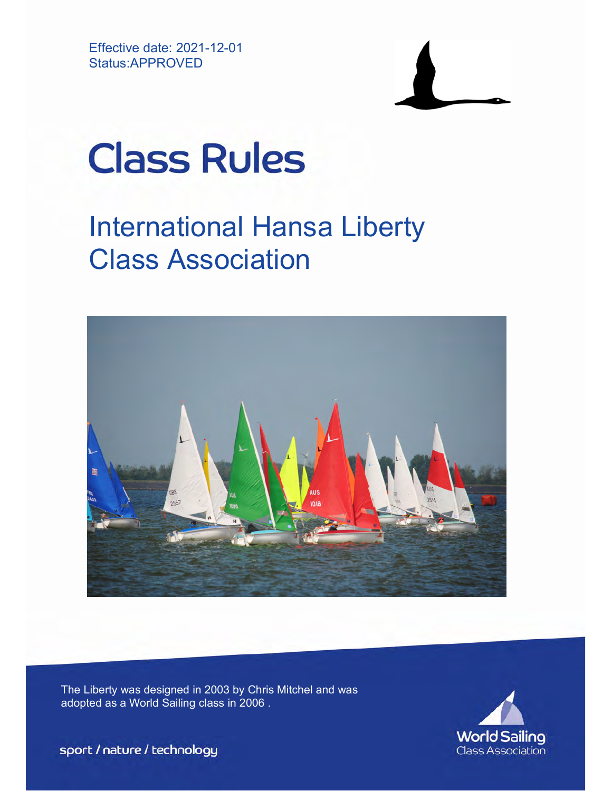Effective date: 2021-12-01 Status:APPROVED



# **Class Rules**

# International Hansa Liberty Class Association



The Liberty was designed in 2003 by Chris Mitchel and was adopted as a World Sailing class in 2006 .



sport / nature / technology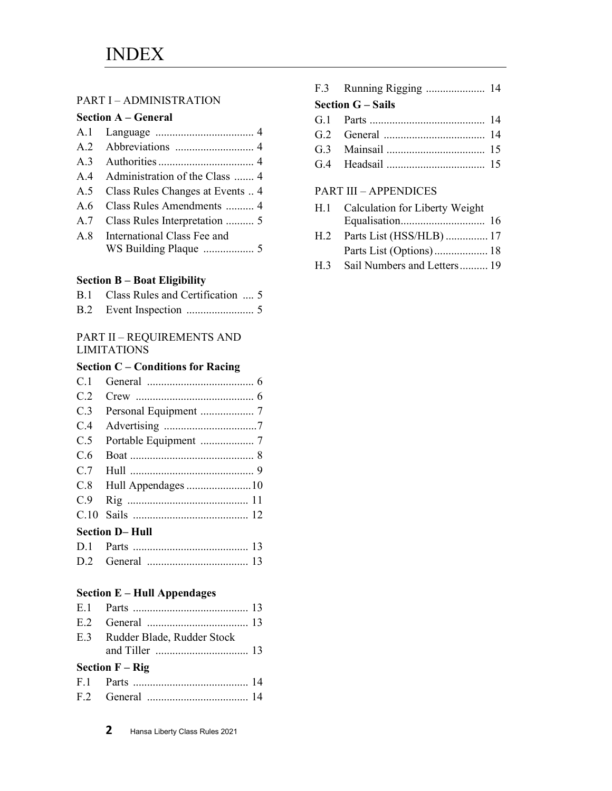#### PART I – ADMINISTRATION

#### Section A – General

|     | A.4 Administration of the Class  4 |
|-----|------------------------------------|
| A.5 | Class Rules Changes at Events  4   |
| A.6 | Class Rules Amendments  4          |
| A.7 | Class Rules Interpretation  5      |
|     | A.8 International Class Fee and    |
|     |                                    |
|     |                                    |

#### Section B – Boat Eligibility

| B.1 Class Rules and Certification  5 |
|--------------------------------------|
|                                      |

#### PART II – REQUIREMENTS AND LIMITATIONS

#### Section C – Conditions for Racing

| C.1 |                 |
|-----|-----------------|
| C.2 |                 |
| C.3 |                 |
| C.4 |                 |
| C.5 |                 |
| C.6 |                 |
| C.7 |                 |
|     |                 |
| C.9 |                 |
|     |                 |
|     | Section D– Hull |
|     |                 |

| D.2 | General |  |
|-----|---------|--|
|     |         |  |

#### Section E – Hull Appendages

| E.3 Rudder Blade, Rudder Stock      |  |
|-------------------------------------|--|
| <b>Section <math>F - Rig</math></b> |  |
|                                     |  |
|                                     |  |

| <b>Section G</b> – Sails |  |
|--------------------------|--|
| G 1 Parts                |  |

G.4 Headsail ................................... 15

#### PART III – APPENDICES

| H.1 | Calculation for Liberty Weight |
|-----|--------------------------------|
|     |                                |
| H.2 | Parts List (HSS/HLB)  17       |
|     |                                |
| H.3 | Sail Numbers and Letters 19    |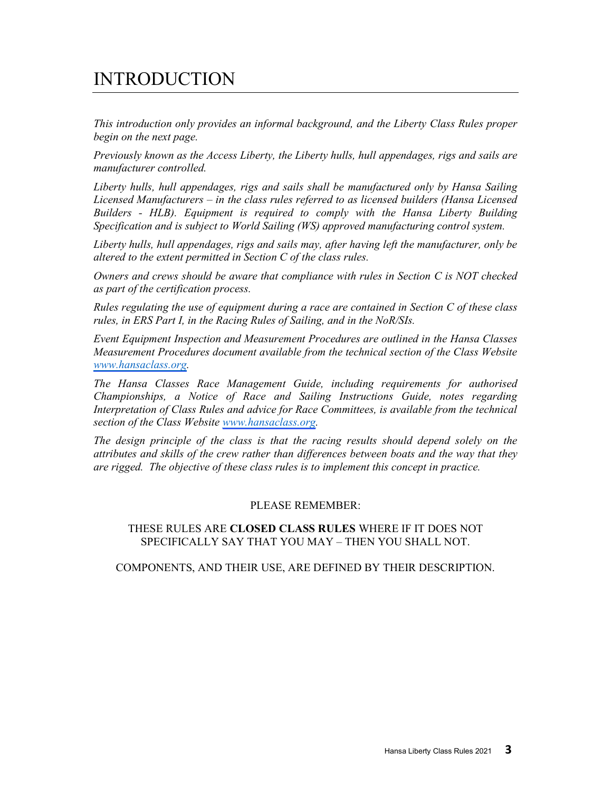# INTRODUCTION

This introduction only provides an informal background, and the Liberty Class Rules proper begin on the next page.

Previously known as the Access Liberty, the Liberty hulls, hull appendages, rigs and sails are manufacturer controlled.

Liberty hulls, hull appendages, rigs and sails shall be manufactured only by Hansa Sailing Licensed Manufacturers – in the class rules referred to as licensed builders (Hansa Licensed Builders - HLB). Equipment is required to comply with the Hansa Liberty Building Specification and is subject to World Sailing (WS) approved manufacturing control system.

Liberty hulls, hull appendages, rigs and sails may, after having left the manufacturer, only be altered to the extent permitted in Section C of the class rules.

Owners and crews should be aware that compliance with rules in Section C is NOT checked as part of the certification process.

Rules regulating the use of equipment during a race are contained in Section C of these class rules, in ERS Part I, in the Racing Rules of Sailing, and in the NoR/SIs.

Event Equipment Inspection and Measurement Procedures are outlined in the Hansa Classes Measurement Procedures document available from the technical section of the Class Website [www.hansaclass.org.](https://hansaclass.org/technical/ihca-measurement-procedures/)

The Hansa Classes Race Management Guide, including requirements for authorised Championships, a Notice of Race and Sailing Instructions Guide, notes regarding Interpretation of Class Rules and advice for Race Committees, is available from the technical section of the Class Website [www.hansaclass.org.](https://hansaclass.org/events/world-and-international-championships/)

The design principle of the class is that the racing results should depend solely on the attributes and skills of the crew rather than differences between boats and the way that they are rigged. The objective of these class rules is to implement this concept in practice.

#### PLEASE REMEMBER:

#### THESE RULES ARE CLOSED CLASS RULES WHERE IF IT DOES NOT SPECIFICALLY SAY THAT YOU MAY – THEN YOU SHALL NOT.

COMPONENTS, AND THEIR USE, ARE DEFINED BY THEIR DESCRIPTION.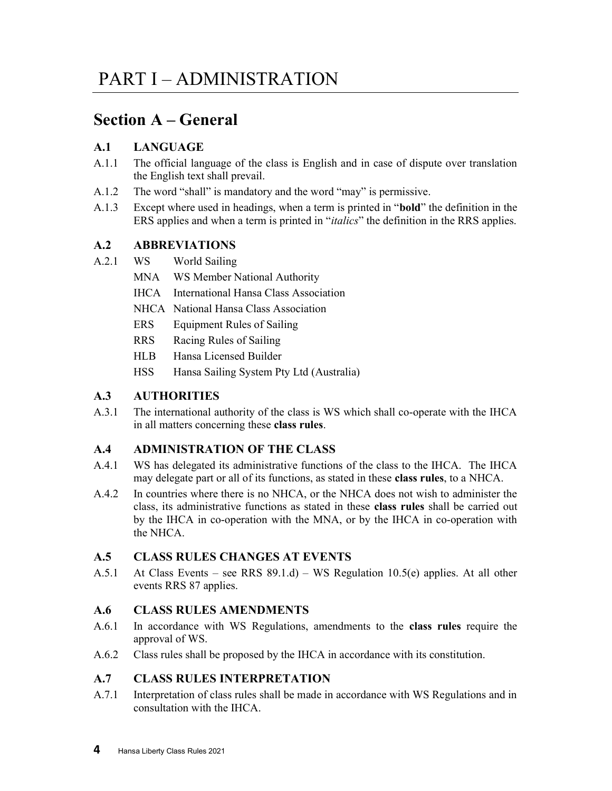## Section A – General

#### A.1 LANGUAGE

- A.1.1 The official language of the class is English and in case of dispute over translation the English text shall prevail.
- A.1.2 The word "shall" is mandatory and the word "may" is permissive.
- A.1.3 Except where used in headings, when a term is printed in "bold" the definition in the ERS applies and when a term is printed in "italics" the definition in the RRS applies.

#### A.2 ABBREVIATIONS

- A.2.1 WS World Sailing
	- MNA WS Member National Authority
	- IHCA International Hansa Class Association
	- NHCA National Hansa Class Association
	- ERS Equipment Rules of Sailing
	- RRS Racing Rules of Sailing
	- HLB Hansa Licensed Builder
	- HSS Hansa Sailing System Pty Ltd (Australia)

#### A.3 AUTHORITIES

A.3.1 The international authority of the class is WS which shall co-operate with the IHCA in all matters concerning these class rules.

#### A.4 ADMINISTRATION OF THE CLASS

- A.4.1 WS has delegated its administrative functions of the class to the IHCA. The IHCA may delegate part or all of its functions, as stated in these class rules, to a NHCA.
- A.4.2 In countries where there is no NHCA, or the NHCA does not wish to administer the class, its administrative functions as stated in these class rules shall be carried out by the IHCA in co-operation with the MNA, or by the IHCA in co-operation with the NHCA.

#### A.5 CLASS RULES CHANGES AT EVENTS

A.5.1 At Class Events – see RRS  $89.1.d$ ) – WS Regulation 10.5(e) applies. At all other events RRS 87 applies.

#### A.6 CLASS RULES AMENDMENTS

- A.6.1 In accordance with WS Regulations, amendments to the class rules require the approval of WS.
- A.6.2 Class rules shall be proposed by the IHCA in accordance with its constitution.

#### A.7 CLASS RULES INTERPRETATION

A.7.1 Interpretation of class rules shall be made in accordance with WS Regulations and in consultation with the IHCA.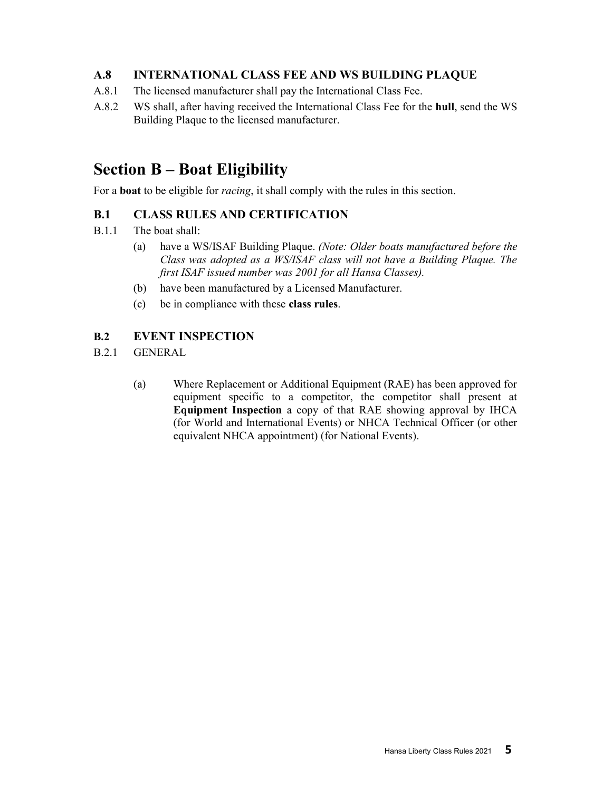#### A.8 INTERNATIONAL CLASS FEE AND WS BUILDING PLAQUE

- A.8.1 The licensed manufacturer shall pay the International Class Fee.
- A.8.2 WS shall, after having received the International Class Fee for the hull, send the WS Building Plaque to the licensed manufacturer.

## Section B – Boat Eligibility

For a **boat** to be eligible for *racing*, it shall comply with the rules in this section.

#### B.1 CLASS RULES AND CERTIFICATION

- B.1.1 The boat shall:
	- (a) have a WS/ISAF Building Plaque. (Note: Older boats manufactured before the Class was adopted as a WS/ISAF class will not have a Building Plaque. The first ISAF issued number was 2001 for all Hansa Classes).
	- (b) have been manufactured by a Licensed Manufacturer.
	- (c) be in compliance with these class rules.

#### B.2 EVENT INSPECTION

- B.2.1 GENERAL
	- (a) Where Replacement or Additional Equipment (RAE) has been approved for equipment specific to a competitor, the competitor shall present at Equipment Inspection a copy of that RAE showing approval by IHCA (for World and International Events) or NHCA Technical Officer (or other equivalent NHCA appointment) (for National Events).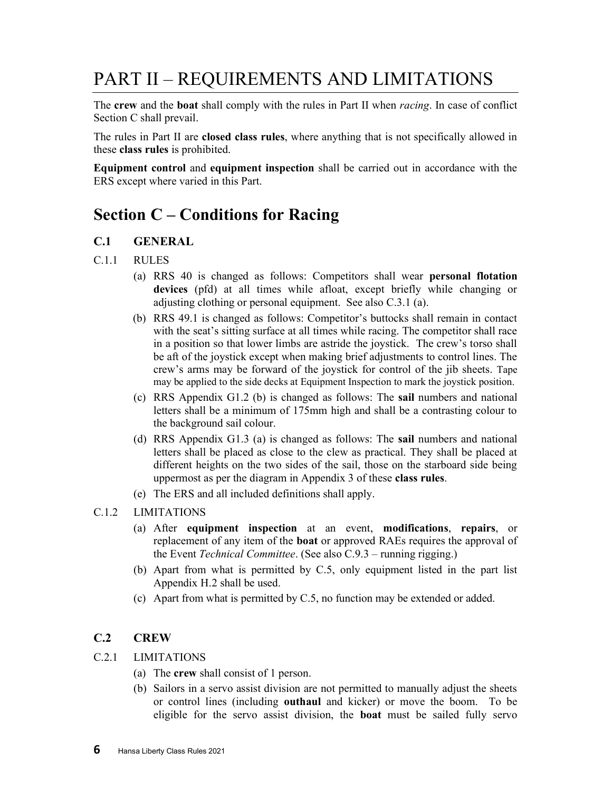# PART II – REQUIREMENTS AND LIMITATIONS

The crew and the boat shall comply with the rules in Part II when *racing*. In case of conflict Section C shall prevail.

The rules in Part II are closed class rules, where anything that is not specifically allowed in these class rules is prohibited.

Equipment control and equipment inspection shall be carried out in accordance with the ERS except where varied in this Part.

## Section C – Conditions for Racing

#### C.1 GENERAL

- C.1.1 RULES
	- (a) RRS 40 is changed as follows: Competitors shall wear personal flotation devices (pfd) at all times while afloat, except briefly while changing or adjusting clothing or personal equipment. See also C.3.1 (a).
	- (b) RRS 49.1 is changed as follows: Competitor's buttocks shall remain in contact with the seat's sitting surface at all times while racing. The competitor shall race in a position so that lower limbs are astride the joystick. The crew's torso shall be aft of the joystick except when making brief adjustments to control lines. The crew's arms may be forward of the joystick for control of the jib sheets. Tape may be applied to the side decks at Equipment Inspection to mark the joystick position.
	- (c) RRS Appendix G1.2 (b) is changed as follows: The sail numbers and national letters shall be a minimum of 175mm high and shall be a contrasting colour to the background sail colour.
	- (d) RRS Appendix G1.3 (a) is changed as follows: The sail numbers and national letters shall be placed as close to the clew as practical. They shall be placed at different heights on the two sides of the sail, those on the starboard side being uppermost as per the diagram in Appendix 3 of these class rules.
	- (e) The ERS and all included definitions shall apply.
- C.1.2 LIMITATIONS
	- (a) After equipment inspection at an event, modifications, repairs, or replacement of any item of the boat or approved RAEs requires the approval of the Event Technical Committee. (See also C.9.3 – running rigging.)
	- (b) Apart from what is permitted by C.5, only equipment listed in the part list Appendix H.2 shall be used.
	- (c) Apart from what is permitted by C.5, no function may be extended or added.

#### C.2 CREW

C.2.1 LIMITATIONS

- (a) The crew shall consist of 1 person.
- (b) Sailors in a servo assist division are not permitted to manually adjust the sheets or control lines (including outhaul and kicker) or move the boom. To be eligible for the servo assist division, the boat must be sailed fully servo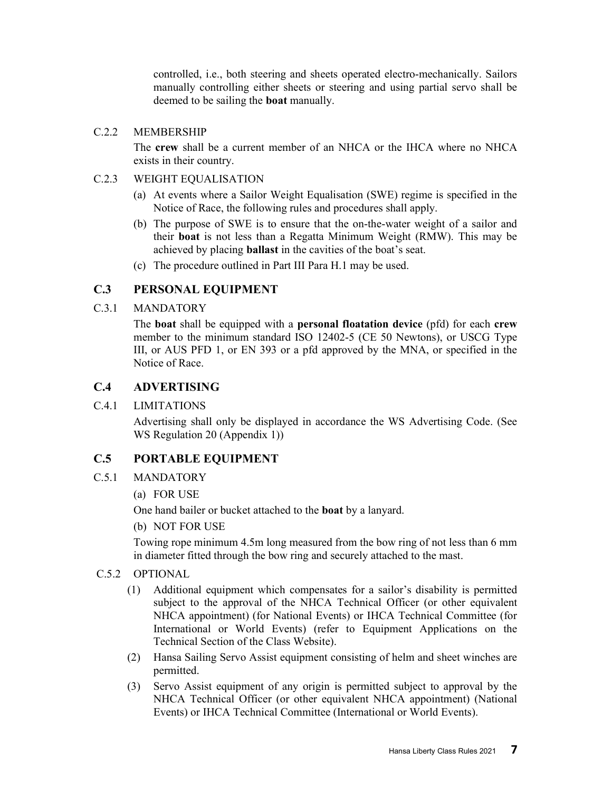controlled, i.e., both steering and sheets operated electro-mechanically. Sailors manually controlling either sheets or steering and using partial servo shall be deemed to be sailing the boat manually.

#### C.2.2 MEMBERSHIP

The crew shall be a current member of an NHCA or the IHCA where no NHCA exists in their country.

#### C.2.3 WEIGHT EQUALISATION

- (a) At events where a Sailor Weight Equalisation (SWE) regime is specified in the Notice of Race, the following rules and procedures shall apply.
- (b) The purpose of SWE is to ensure that the on-the-water weight of a sailor and their boat is not less than a Regatta Minimum Weight (RMW). This may be achieved by placing ballast in the cavities of the boat's seat.
- (c) The procedure outlined in Part III Para H.1 may be used.

#### C.3 PERSONAL EQUIPMENT

C.3.1 MANDATORY

The boat shall be equipped with a personal floatation device (pfd) for each crew member to the minimum standard ISO 12402-5 (CE 50 Newtons), or USCG Type III, or AUS PFD 1, or EN 393 or a pfd approved by the MNA, or specified in the Notice of Race.

#### C.4 ADVERTISING

C.4.1 LIMITATIONS

Advertising shall only be displayed in accordance the WS Advertising Code. (See WS Regulation 20 (Appendix 1))

#### C.5 PORTABLE EQUIPMENT

- C.5.1 MANDATORY
	- (a) FOR USE

One hand bailer or bucket attached to the boat by a lanyard.

(b) NOT FOR USE

Towing rope minimum 4.5m long measured from the bow ring of not less than 6 mm in diameter fitted through the bow ring and securely attached to the mast.

#### C.5.2 OPTIONAL

- (1) Additional equipment which compensates for a sailor's disability is permitted subject to the approval of the NHCA Technical Officer (or other equivalent NHCA appointment) (for National Events) or IHCA Technical Committee (for International or World Events) (refer to Equipment Applications on the Technical Section of the Class Website).
- (2) Hansa Sailing Servo Assist equipment consisting of helm and sheet winches are permitted.
- (3) Servo Assist equipment of any origin is permitted subject to approval by the NHCA Technical Officer (or other equivalent NHCA appointment) (National Events) or IHCA Technical Committee (International or World Events).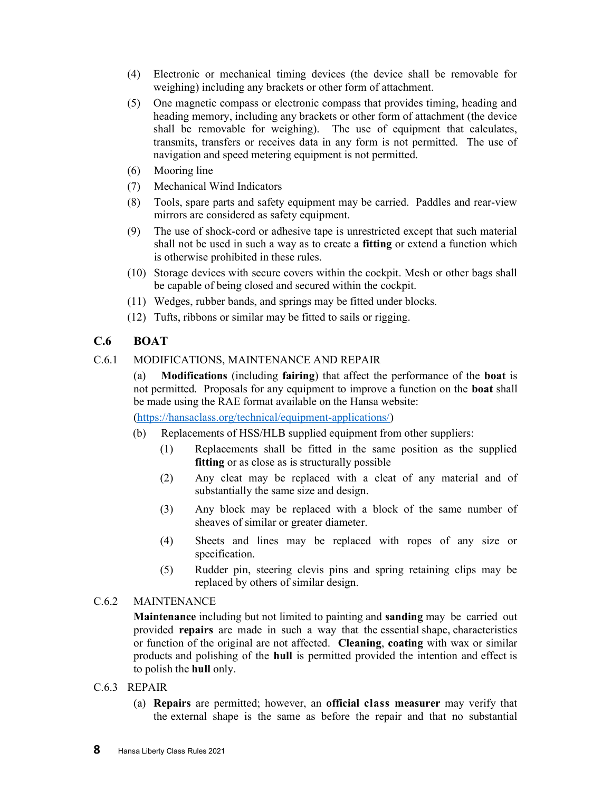- (4) Electronic or mechanical timing devices (the device shall be removable for weighing) including any brackets or other form of attachment.
- (5) One magnetic compass or electronic compass that provides timing, heading and heading memory, including any brackets or other form of attachment (the device shall be removable for weighing). The use of equipment that calculates, transmits, transfers or receives data in any form is not permitted. The use of navigation and speed metering equipment is not permitted.
- (6) Mooring line
- (7) Mechanical Wind Indicators
- (8) Tools, spare parts and safety equipment may be carried. Paddles and rear-view mirrors are considered as safety equipment.
- (9) The use of shock-cord or adhesive tape is unrestricted except that such material shall not be used in such a way as to create a fitting or extend a function which is otherwise prohibited in these rules.
- (10) Storage devices with secure covers within the cockpit. Mesh or other bags shall be capable of being closed and secured within the cockpit.
- (11) Wedges, rubber bands, and springs may be fitted under blocks.
- (12) Tufts, ribbons or similar may be fitted to sails or rigging.

#### C.6 BOAT

C.6.1 MODIFICATIONS, MAINTENANCE AND REPAIR

(a) Modifications (including fairing) that affect the performance of the boat is not permitted. Proposals for any equipment to improve a function on the boat shall be made using the RAE format available on the Hansa website:

(https://hansaclass.org/technical/equipment-applications/)

- (b) Replacements of HSS/HLB supplied equipment from other suppliers:
	- (1) Replacements shall be fitted in the same position as the supplied fitting or as close as is structurally possible
	- (2) Any cleat may be replaced with a cleat of any material and of substantially the same size and design.
	- (3) Any block may be replaced with a block of the same number of sheaves of similar or greater diameter.
	- (4) Sheets and lines may be replaced with ropes of any size or specification.
	- (5) Rudder pin, steering clevis pins and spring retaining clips may be replaced by others of similar design.

#### C.6.2 MAINTENANCE

Maintenance including but not limited to painting and sanding may be carried out provided repairs are made in such a way that the essential shape, characteristics or function of the original are not affected. Cleaning, coating with wax or similar products and polishing of the hull is permitted provided the intention and effect is to polish the hull only.

- C.6.3 REPAIR
	- (a) Repairs are permitted; however, an official class measurer may verify that the external shape is the same as before the repair and that no substantial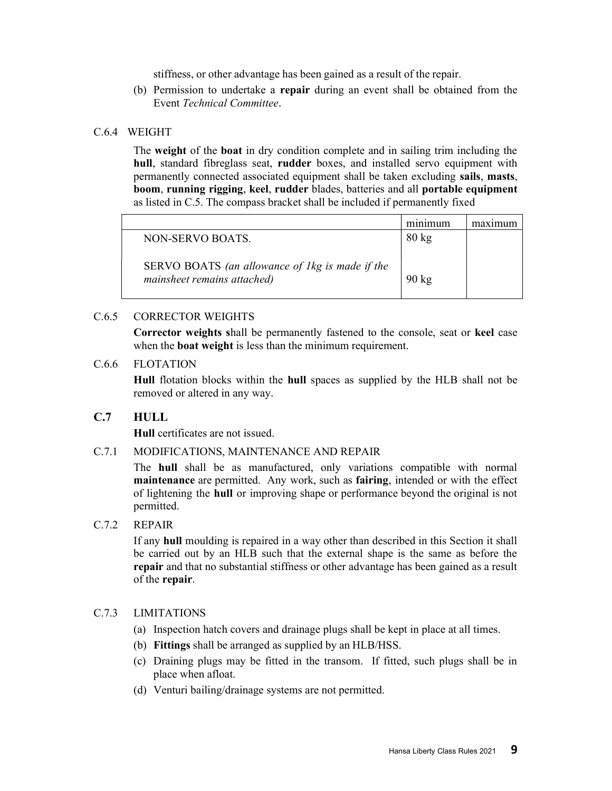stiffness, or other advantage has been gained as a result of the repair.

(b) Permission to undertake a repair during an event shall be obtained from the Event Technical Committee.

#### C.6.4 WEIGHT

The weight of the boat in dry condition complete and in sailing trim including the hull, standard fibreglass seat, rudder boxes, and installed servo equipment with permanently connected associated equipment shall be taken excluding sails, masts, boom, running rigging, keel, rudder blades, batteries and all portable equipment as listed in C.5. The compass bracket shall be included if permanently fixed

|                                                 | minimum         |  |
|-------------------------------------------------|-----------------|--|
| NON-SERVO BOATS.                                | $80 \text{ kg}$ |  |
|                                                 |                 |  |
| SERVO BOATS (an allowance of 1kg is made if the |                 |  |
| mainsheet remains attached)                     | $90 \text{ kg}$ |  |
|                                                 |                 |  |

#### C.6.5 CORRECTOR WEIGHTS

Corrector weights shall be permanently fastened to the console, seat or keel case when the boat weight is less than the minimum requirement.

#### C.6.6 FLOTATION

Hull flotation blocks within the hull spaces as supplied by the HLB shall not be removed or altered in any way.

#### C.7 HULL

Hull certificates are not issued.

#### C.7.1 MODIFICATIONS, MAINTENANCE AND REPAIR

The hull shall be as manufactured, only variations compatible with normal maintenance are permitted. Any work, such as fairing, intended or with the effect of lightening the hull or improving shape or performance beyond the original is not permitted.

#### C.7.2 REPAIR

If any hull moulding is repaired in a way other than described in this Section it shall be carried out by an HLB such that the external shape is the same as before the repair and that no substantial stiffness or other advantage has been gained as a result of the repair.

#### C.7.3 LIMITATIONS

- (a) Inspection hatch covers and drainage plugs shall be kept in place at all times.
- (b) Fittings shall be arranged as supplied by an HLB/HSS.
- (c) Draining plugs may be fitted in the transom. If fitted, such plugs shall be in place when afloat.
- (d) Venturi bailing/drainage systems are not permitted.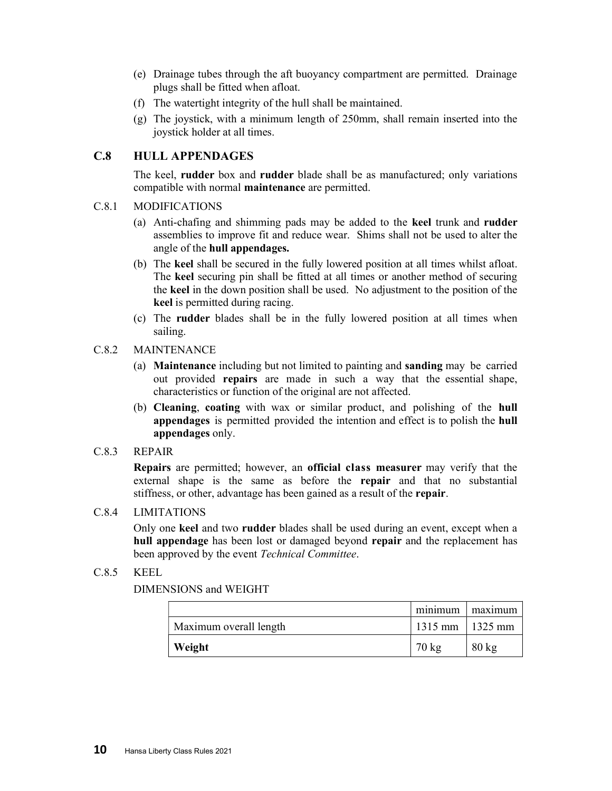- (e) Drainage tubes through the aft buoyancy compartment are permitted. Drainage plugs shall be fitted when afloat.
- (f) The watertight integrity of the hull shall be maintained.
- (g) The joystick, with a minimum length of 250mm, shall remain inserted into the joystick holder at all times.

#### C.8 HULL APPENDAGES

The keel, rudder box and rudder blade shall be as manufactured; only variations compatible with normal maintenance are permitted.

#### C.8.1 MODIFICATIONS

- (a) Anti-chafing and shimming pads may be added to the keel trunk and rudder assemblies to improve fit and reduce wear. Shims shall not be used to alter the angle of the hull appendages.
- (b) The keel shall be secured in the fully lowered position at all times whilst afloat. The keel securing pin shall be fitted at all times or another method of securing the keel in the down position shall be used. No adjustment to the position of the keel is permitted during racing.
- (c) The rudder blades shall be in the fully lowered position at all times when sailing.

#### C.8.2 MAINTENANCE

- (a) Maintenance including but not limited to painting and sanding may be carried out provided repairs are made in such a way that the essential shape, characteristics or function of the original are not affected.
- (b) Cleaning, coating with wax or similar product, and polishing of the hull appendages is permitted provided the intention and effect is to polish the hull appendages only.
- C.8.3 REPAIR

Repairs are permitted; however, an official class measurer may verify that the external shape is the same as before the repair and that no substantial stiffness, or other, advantage has been gained as a result of the repair.

#### C.8.4 LIMITATIONS

Only one keel and two rudder blades shall be used during an event, except when a hull appendage has been lost or damaged beyond repair and the replacement has been approved by the event Technical Committee.

#### C.8.5 KEEL

DIMENSIONS and WEIGHT

|                        | minimum             | maximum         |
|------------------------|---------------------|-----------------|
| Maximum overall length | $1315$ mm   1325 mm |                 |
| Weight                 | $70 \text{ kg}$     | $80 \text{ kg}$ |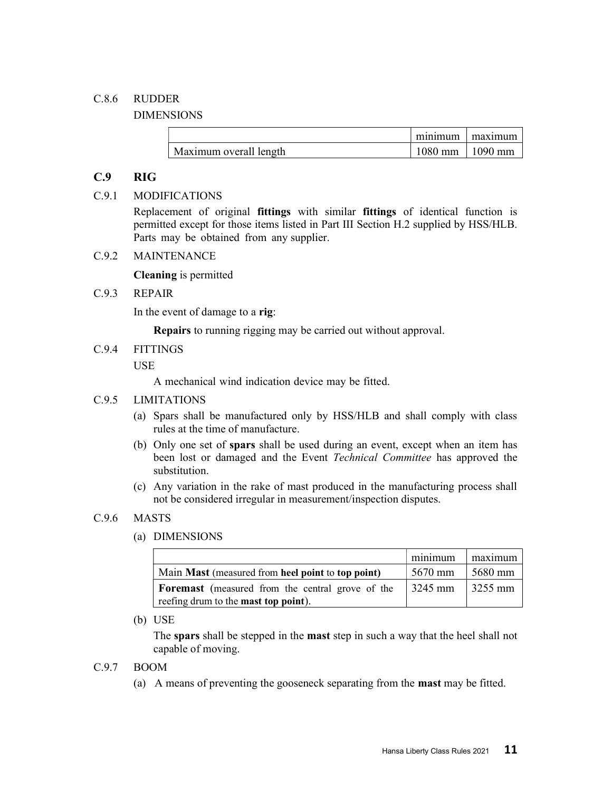#### C.8.6 RUDDER

DIMENSIONS

|                        | minimum             | maximum |
|------------------------|---------------------|---------|
| Maximum overall length | $1080$ mm   1090 mm |         |

#### C.9 RIG

#### C.9.1 MODIFICATIONS

Replacement of original fittings with similar fittings of identical function is permitted except for those items listed in Part III Section H.2 supplied by HSS/HLB. Parts may be obtained from any supplier.

#### C.9.2 MAINTENANCE

Cleaning is permitted

#### C.9.3 REPAIR

In the event of damage to a rig:

Repairs to running rigging may be carried out without approval.

C.9.4 FITTINGS

**USE** 

A mechanical wind indication device may be fitted.

#### C.9.5 LIMITATIONS

- (a) Spars shall be manufactured only by HSS/HLB and shall comply with class rules at the time of manufacture.
- (b) Only one set of spars shall be used during an event, except when an item has been lost or damaged and the Event Technical Committee has approved the substitution.
- (c) Any variation in the rake of mast produced in the manufacturing process shall not be considered irregular in measurement/inspection disputes.

#### C.9.6 MASTS

(a) DIMENSIONS

|                                                         | minimum | maximum             |
|---------------------------------------------------------|---------|---------------------|
| Main Mast (measured from heel point to top point)       | 5670 mm | 5680 mm             |
| <b>Foremast</b> (measured from the central grove of the | 3245 mm | $\frac{3255}{2}$ mm |
| reefing drum to the <b>mast top point</b> ).            |         |                     |

(b) USE

The spars shall be stepped in the mast step in such a way that the heel shall not capable of moving.

#### C.9.7 BOOM

(a) A means of preventing the gooseneck separating from the mast may be fitted.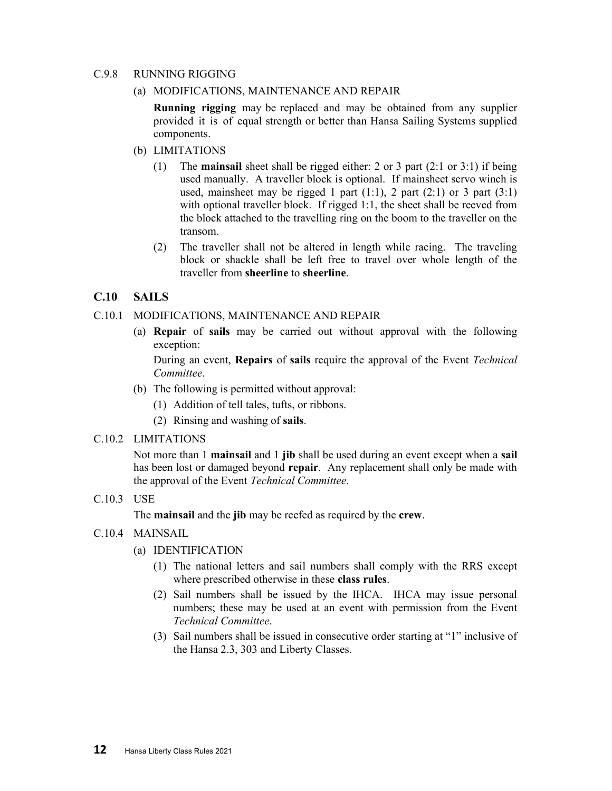#### C.9.8 RUNNING RIGGING

#### (a) MODIFICATIONS, MAINTENANCE AND REPAIR

Running rigging may be replaced and may be obtained from any supplier provided it is of equal strength or better than Hansa Sailing Systems supplied components.

- (b) LIMITATIONS
	- (1) The mainsail sheet shall be rigged either: 2 or 3 part (2:1 or 3:1) if being used manually. A traveller block is optional. If mainsheet servo winch is used, mainsheet may be rigged 1 part  $(1:1)$ , 2 part  $(2:1)$  or 3 part  $(3:1)$ with optional traveller block. If rigged 1:1, the sheet shall be reeved from the block attached to the travelling ring on the boom to the traveller on the transom.
	- (2) The traveller shall not be altered in length while racing. The traveling block or shackle shall be left free to travel over whole length of the traveller from sheerline to sheerline.

#### C.10 SAILS

#### C.10.1 MODIFICATIONS, MAINTENANCE AND REPAIR

(a) Repair of sails may be carried out without approval with the following exception:

During an event, Repairs of sails require the approval of the Event Technical Committee.

- (b) The following is permitted without approval:
	- (1) Addition of tell tales, tufts, or ribbons.
	- (2) Rinsing and washing of sails.

#### C.10.2 LIMITATIONS

Not more than 1 mainsail and 1 jib shall be used during an event except when a sail has been lost or damaged beyond repair. Any replacement shall only be made with the approval of the Event Technical Committee.

#### C.10.3 USE

The mainsail and the jib may be reefed as required by the crew.

#### C.10.4 MAINSAIL

#### (a) IDENTIFICATION

- (1) The national letters and sail numbers shall comply with the RRS except where prescribed otherwise in these class rules.
- (2) Sail numbers shall be issued by the IHCA. IHCA may issue personal numbers; these may be used at an event with permission from the Event Technical Committee.
- (3) Sail numbers shall be issued in consecutive order starting at "1" inclusive of the Hansa 2.3, 303 and Liberty Classes.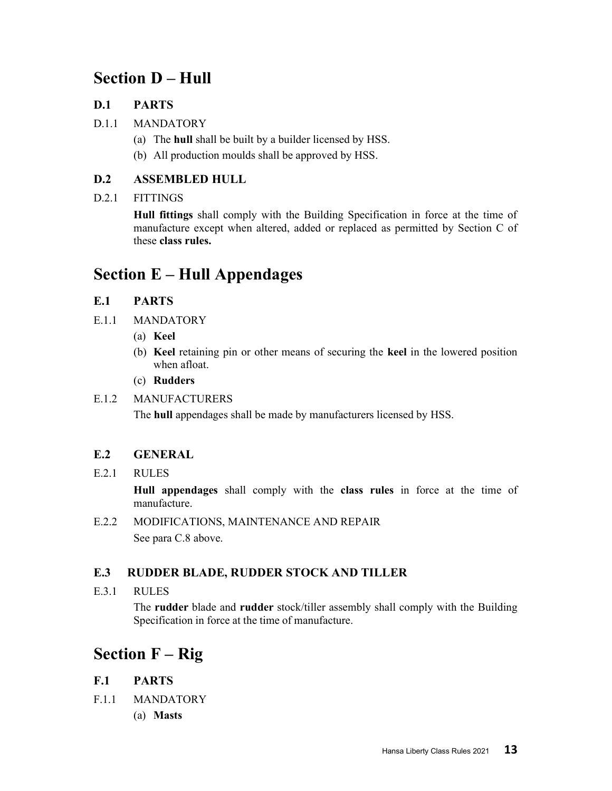# Section D – Hull

#### D.1 PARTS

- D.1.1 MANDATORY
	- (a) The hull shall be built by a builder licensed by HSS.
	- (b) All production moulds shall be approved by HSS.

#### D.2 ASSEMBLED HULL

#### D.2.1 FITTINGS

Hull fittings shall comply with the Building Specification in force at the time of manufacture except when altered, added or replaced as permitted by Section C of these class rules.

# Section E – Hull Appendages

#### E.1 PARTS

- E.1.1 MANDATORY
	- (a) Keel
	- (b) Keel retaining pin or other means of securing the keel in the lowered position when afloat.
	- (c) Rudders

#### E.1.2 MANUFACTURERS

The hull appendages shall be made by manufacturers licensed by HSS.

#### E.2 GENERAL

E.2.1 RULES

Hull appendages shall comply with the class rules in force at the time of manufacture.

E.2.2 MODIFICATIONS, MAINTENANCE AND REPAIR

See para C.8 above.

#### E.3 RUDDER BLADE, RUDDER STOCK AND TILLER

E.3.1 RULES

The rudder blade and rudder stock/tiller assembly shall comply with the Building Specification in force at the time of manufacture.

# Section F – Rig

#### F.1 PARTS

- F.1.1 MANDATORY
	- (a) Masts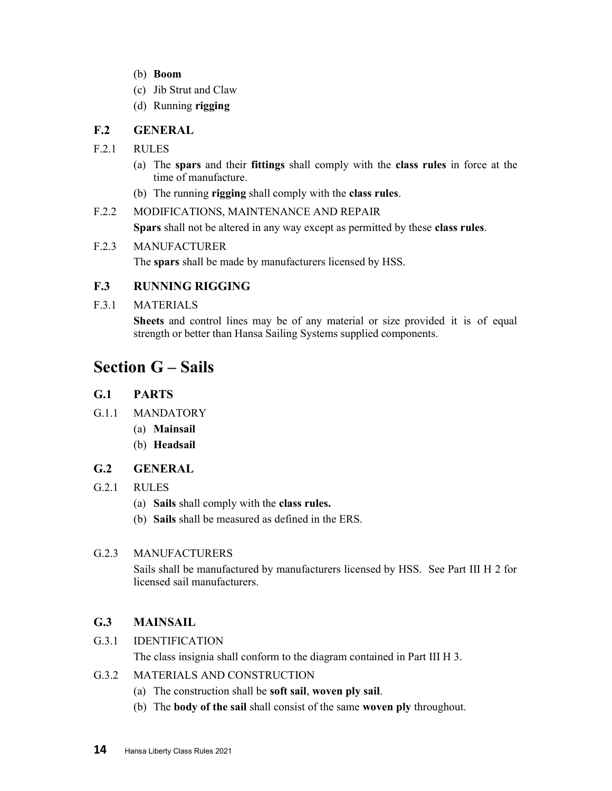- (b) Boom
- (c) Jib Strut and Claw
- (d) Running rigging

#### F.2 GENERAL

- F.2.1 RULES
	- (a) The spars and their fittings shall comply with the class rules in force at the time of manufacture.
	- (b) The running rigging shall comply with the class rules.

F.2.2 MODIFICATIONS, MAINTENANCE AND REPAIR Spars shall not be altered in any way except as permitted by these class rules.

#### F.2.3 MANUFACTURER

The spars shall be made by manufacturers licensed by HSS.

#### F.3 RUNNING RIGGING

F.3.1 MATERIALS

Sheets and control lines may be of any material or size provided it is of equal strength or better than Hansa Sailing Systems supplied components.

## Section G – Sails

#### G.1 PARTS

- G.1.1 MANDATORY
	- (a) Mainsail
	- (b) Headsail

#### G.2 GENERAL

- G.2.1 RULES
	- (a) Sails shall comply with the class rules.
	- (b) Sails shall be measured as defined in the ERS.

#### G.2.3 MANUFACTURERS

Sails shall be manufactured by manufacturers licensed by HSS. See Part III H 2 for licensed sail manufacturers.

#### G.3 MAINSAIL

G.3.1 IDENTIFICATION

The class insignia shall conform to the diagram contained in Part III H 3.

- G.3.2 MATERIALS AND CONSTRUCTION
	- (a) The construction shall be soft sail, woven ply sail.
	- (b) The body of the sail shall consist of the same woven ply throughout.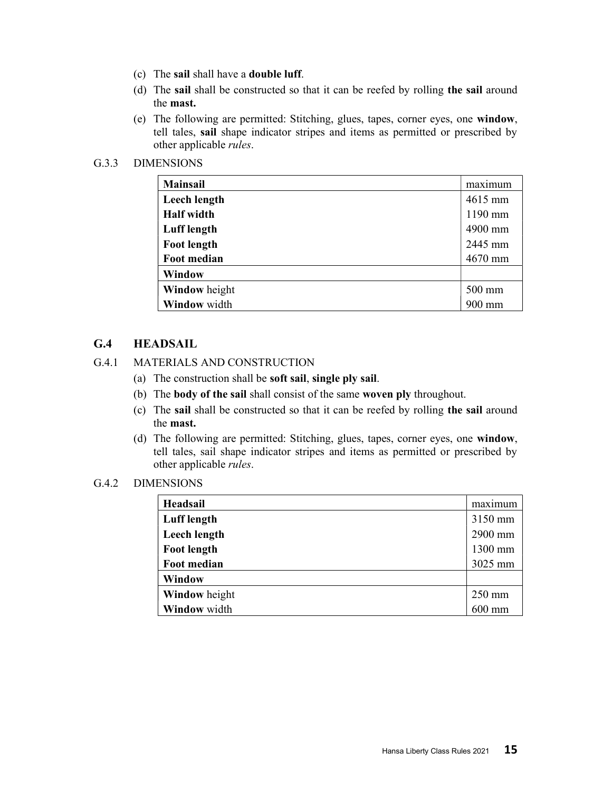- (c) The sail shall have a double luff.
- (d) The sail shall be constructed so that it can be reefed by rolling the sail around the mast.
- (e) The following are permitted: Stitching, glues, tapes, corner eyes, one window, tell tales, sail shape indicator stripes and items as permitted or prescribed by other applicable rules.

#### G.3.3 DIMENSIONS

| <b>Mainsail</b>      | maximum          |
|----------------------|------------------|
| Leech length         | 4615 mm          |
| <b>Half</b> width    | 1190 mm          |
| Luff length          | 4900 mm          |
| <b>Foot length</b>   | 2445 mm          |
| Foot median          | 4670 mm          |
| Window               |                  |
| <b>Window</b> height | $500 \text{ mm}$ |
| Window width         | 900 mm           |

#### G.4 HEADSAIL

#### G.4.1 MATERIALS AND CONSTRUCTION

- (a) The construction shall be soft sail, single ply sail.
- (b) The body of the sail shall consist of the same woven ply throughout.
- (c) The sail shall be constructed so that it can be reefed by rolling the sail around the mast.
- (d) The following are permitted: Stitching, glues, tapes, corner eyes, one window, tell tales, sail shape indicator stripes and items as permitted or prescribed by other applicable rules.

#### G.4.2 DIMENSIONS

| Headsail           | maximum          |
|--------------------|------------------|
| <b>Luff</b> length | 3150 mm          |
| Leech length       | 2900 mm          |
| <b>Foot length</b> | 1300 mm          |
| <b>Foot median</b> | 3025 mm          |
| Window             |                  |
| Window height      | $250 \text{ mm}$ |
| Window width       | $600$ mm         |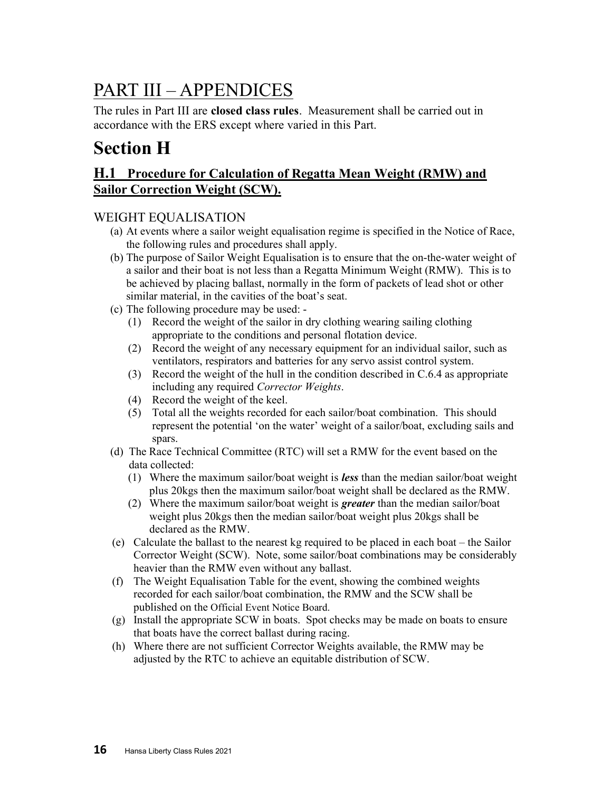# PART III – APPENDICES

The rules in Part III are **closed class rules**. Measurement shall be carried out in accordance with the ERS except where varied in this Part.

# Section H

### H.1 Procedure for Calculation of Regatta Mean Weight (RMW) and Sailor Correction Weight (SCW).

#### WEIGHT EQUALISATION

- (a) At events where a sailor weight equalisation regime is specified in the Notice of Race, the following rules and procedures shall apply.
- (b) The purpose of Sailor Weight Equalisation is to ensure that the on-the-water weight of a sailor and their boat is not less than a Regatta Minimum Weight (RMW). This is to be achieved by placing ballast, normally in the form of packets of lead shot or other similar material, in the cavities of the boat's seat.
- (c) The following procedure may be used:
	- (1) Record the weight of the sailor in dry clothing wearing sailing clothing appropriate to the conditions and personal flotation device.
	- (2) Record the weight of any necessary equipment for an individual sailor, such as ventilators, respirators and batteries for any servo assist control system.
	- (3) Record the weight of the hull in the condition described in C.6.4 as appropriate including any required Corrector Weights.
	- (4) Record the weight of the keel.
	- (5) Total all the weights recorded for each sailor/boat combination. This should represent the potential 'on the water' weight of a sailor/boat, excluding sails and spars.
- (d) The Race Technical Committee (RTC) will set a RMW for the event based on the data collected:
	- (1) Where the maximum sailor/boat weight is **less** than the median sailor/boat weight plus 20kgs then the maximum sailor/boat weight shall be declared as the RMW.
	- (2) Where the maximum sailor/boat weight is **greater** than the median sailor/boat weight plus 20kgs then the median sailor/boat weight plus 20kgs shall be declared as the RMW.
- (e) Calculate the ballast to the nearest kg required to be placed in each boat the Sailor Corrector Weight (SCW). Note, some sailor/boat combinations may be considerably heavier than the RMW even without any ballast.
- (f) The Weight Equalisation Table for the event, showing the combined weights recorded for each sailor/boat combination, the RMW and the SCW shall be published on the Official Event Notice Board.
- (g) Install the appropriate SCW in boats. Spot checks may be made on boats to ensure that boats have the correct ballast during racing.
- (h) Where there are not sufficient Corrector Weights available, the RMW may be adjusted by the RTC to achieve an equitable distribution of SCW.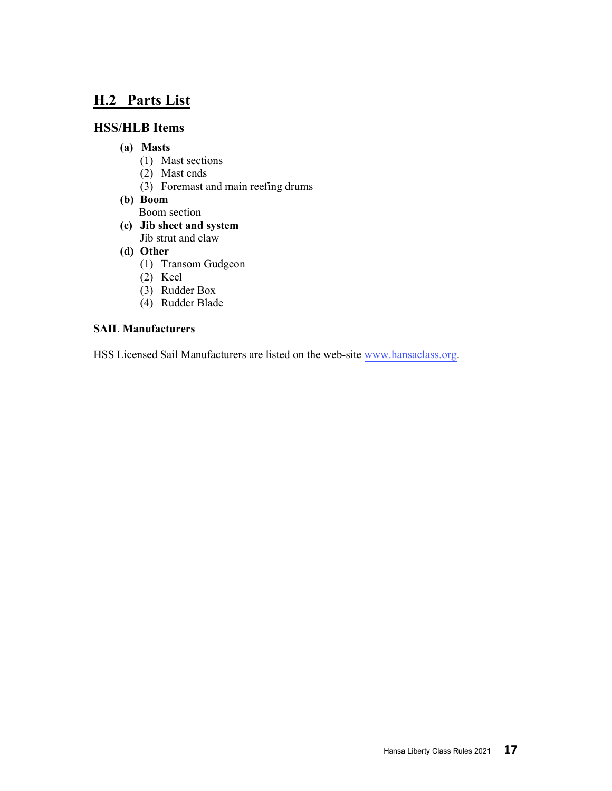## H.2 Parts List

#### HSS/HLB Items

#### (a) Masts

- (1) Mast sections
- (2) Mast ends
- (3) Foremast and main reefing drums
- (b) Boom Boom section
- (c) Jib sheet and system Jib strut and claw
- (d) Other
	- (1) Transom Gudgeon
	- (2) Keel
	- (3) Rudder Box
	- (4) Rudder Blade

#### SAIL Manufacturers

HSS Licensed Sail Manufacturers are listed on the web-site [www.hansaclass.org](https://hansaclass.org/about/approved-sail-makers/).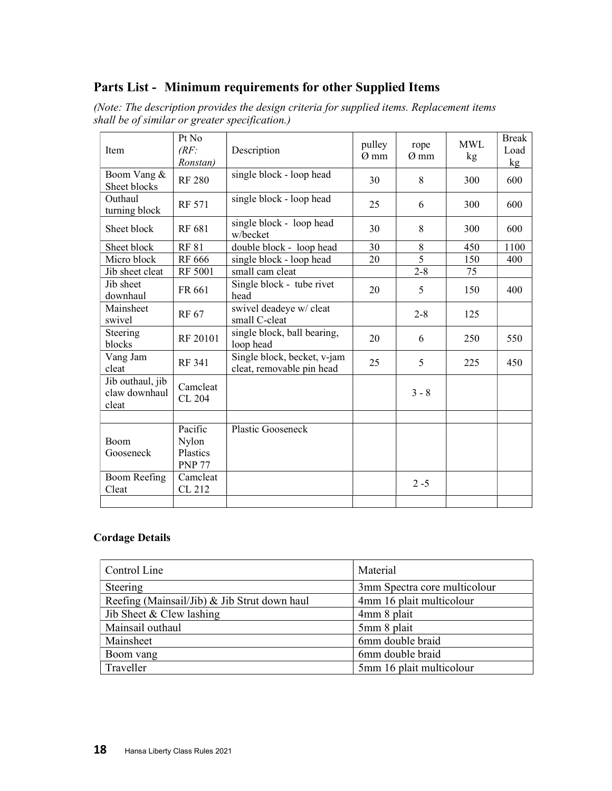#### Parts List - Minimum requirements for other Supplied Items

| Item                                       | Pt No<br>(RF)<br>Ronstan)                     | Description                                              | pulley<br>Ø mm | rope<br>$\varnothing$ mm | <b>MWL</b><br>kg | <b>Break</b><br>Load<br>kg |
|--------------------------------------------|-----------------------------------------------|----------------------------------------------------------|----------------|--------------------------|------------------|----------------------------|
| Boom Vang &<br>Sheet blocks                | <b>RF 280</b>                                 | single block - loop head                                 | 30             | 8                        | 300              | 600                        |
| Outhaul<br>turning block                   | <b>RF 571</b>                                 | single block - loop head                                 | 25             | 6                        | 300              | 600                        |
| Sheet block                                | RF 681                                        | single block - loop head<br>w/becket                     | 30             | 8                        | 300              | 600                        |
| Sheet block                                | <b>RF 81</b>                                  | double block - loop head                                 | 30             | 8                        | 450              | 1100                       |
| Micro block                                | RF 666                                        | single block - loop head                                 | 20             | 5                        | 150              | 400                        |
| Jib sheet cleat                            | RF 5001                                       | small cam cleat                                          |                | $2 - 8$                  | 75               |                            |
| Jib sheet<br>downhaul                      | FR 661                                        | Single block - tube rivet<br>head                        | 20             | 5                        | 150              | 400                        |
| Mainsheet<br>swivel                        | RF 67                                         | swivel deadeye w/ cleat<br>small C-cleat                 |                | $2 - 8$                  | 125              |                            |
| Steering<br>blocks                         | RF 20101                                      | single block, ball bearing,<br>loop head                 | 20             | 6                        | 250              | 550                        |
| Vang Jam<br>cleat                          | RF 341                                        | Single block, becket, v-jam<br>cleat, removable pin head | 25             | 5                        | 225              | 450                        |
| Jib outhaul, jib<br>claw downhaul<br>cleat | Camcleat<br>CL 204                            |                                                          |                | $3 - 8$                  |                  |                            |
|                                            |                                               |                                                          |                |                          |                  |                            |
| Boom<br>Gooseneck                          | Pacific<br>Nylon<br>Plastics<br><b>PNP 77</b> | Plastic Gooseneck                                        |                |                          |                  |                            |
| Boom Reefing<br>Cleat                      | Camcleat<br>CL 212                            |                                                          |                | $2 - 5$                  |                  |                            |
|                                            |                                               |                                                          |                |                          |                  |                            |

(Note: The description provides the design criteria for supplied items. Replacement items shall be of similar or greater specification.)

#### Cordage Details

| Control Line                                 | Material                     |  |  |
|----------------------------------------------|------------------------------|--|--|
| Steering                                     | 3mm Spectra core multicolour |  |  |
| Reefing (Mainsail/Jib) & Jib Strut down haul | 4mm 16 plait multicolour     |  |  |
| Jib Sheet & Clew lashing                     | 4mm 8 plait                  |  |  |
| Mainsail outhaul                             | 5mm 8 plait                  |  |  |
| Mainsheet                                    | 6mm double braid             |  |  |
| Boom vang                                    | 6mm double braid             |  |  |
| Traveller                                    | 5mm 16 plait multicolour     |  |  |